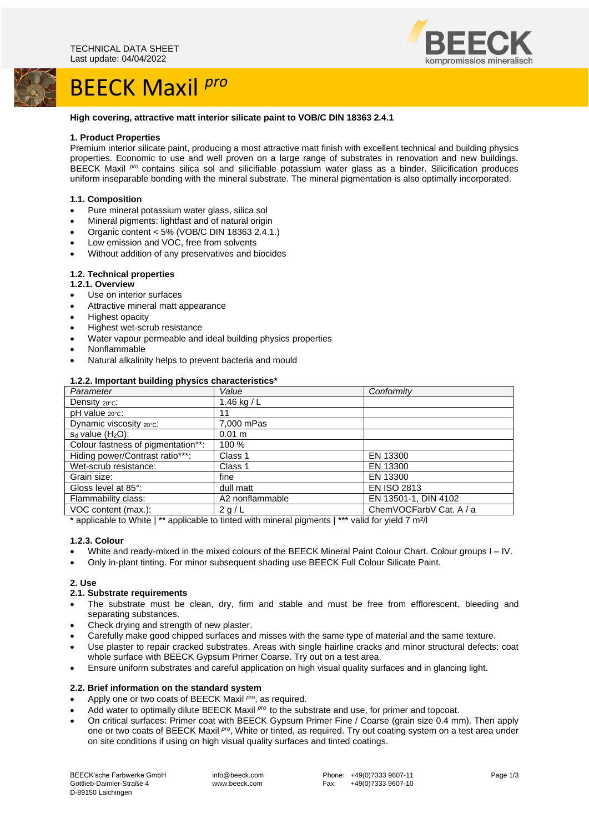

# BEECK Maxil *pro*



## **High covering, attractive matt interior silicate paint to VOB/C DIN 18363 2.4.1**

#### **1. Product Properties**

Premium interior silicate paint, producing a most attractive matt finish with excellent technical and building physics properties. Economic to use and well proven on a large range of substrates in renovation and new buildings. BEECK Maxil <sup>pro</sup> contains silica sol and silicifiable potassium water glass as a binder. Silicification produces uniform inseparable bonding with the mineral substrate. The mineral pigmentation is also optimally incorporated.

## **1.1. Composition**

- Pure mineral potassium water glass, silica sol
- Mineral pigments: lightfast and of natural origin
- Organic content <  $5\%$  (VOB/C DIN 18363 2.4.1.)
- Low emission and VOC, free from solvents
- Without addition of any preservatives and biocides

## **1.2. Technical properties**

# **1.2.1. Overview**

- Use on interior surfaces
- Attractive mineral matt appearance
- Highest opacity
- Highest wet-scrub resistance
- Water vapour permeable and ideal building physics properties
- Nonflammable
- Natural alkalinity helps to prevent bacteria and mould

#### **1.2.2. Important building physics characteristics\***

| Parameter                          | Value            | Conformity              |
|------------------------------------|------------------|-------------------------|
| Density 20°C:                      | 1.46 kg / $L$    |                         |
| pH value 20°C:                     | 11               |                         |
| Dynamic viscosity 20°C:            | 7,000 mPas       |                         |
| $s_d$ value $(H_2O)$ :             | $0.01 \text{ m}$ |                         |
| Colour fastness of pigmentation**: | 100 %            |                         |
| Hiding power/Contrast ratio***:    | Class 1          | EN 13300                |
| Wet-scrub resistance:              | Class 1          | EN 13300                |
| Grain size:                        | fine             | EN 13300                |
| Gloss level at 85°:                | dull matt        | <b>EN ISO 2813</b>      |
| Flammability class:                | A2 nonflammable  | EN 13501-1, DIN 4102    |
| VOC content (max.):                | 2q/L             | ChemVOCFarbV Cat. A / a |

\* applicable to White | \*\* applicable to tinted with mineral pigments | \*\*\* valid for yield 7 m²/l

## **1.2.3. Colour**

- White and ready-mixed in the mixed colours of the BEECK Mineral Paint Colour Chart. Colour groups I IV.
- Only in-plant tinting. For minor subsequent shading use BEECK Full Colour Silicate Paint.

## **2. Use**

## **2.1. Substrate requirements**

- The substrate must be clean, dry, firm and stable and must be free from efflorescent, bleeding and separating substances.
- Check drying and strength of new plaster.
- Carefully make good chipped surfaces and misses with the same type of material and the same texture.
- Use plaster to repair cracked substrates. Areas with single hairline cracks and minor structural defects: coat whole surface with BEECK Gypsum Primer Coarse. Try out on a test area.
- Ensure uniform substrates and careful application on high visual quality surfaces and in glancing light.

#### **2.2. Brief information on the standard system**

- Apply one or two coats of BEECK Maxil *pro* , as required.
- Add water to optimally dilute BEECK Maxil <sup>pro</sup> to the substrate and use, for primer and topcoat.
- On critical surfaces: Primer coat with BEECK Gypsum Primer Fine / Coarse (grain size 0.4 mm). Then apply one or two coats of BEECK Maxil *pro*, White or tinted, as required. Try out coating system on a test area under on site conditions if using on high visual quality surfaces and tinted coatings.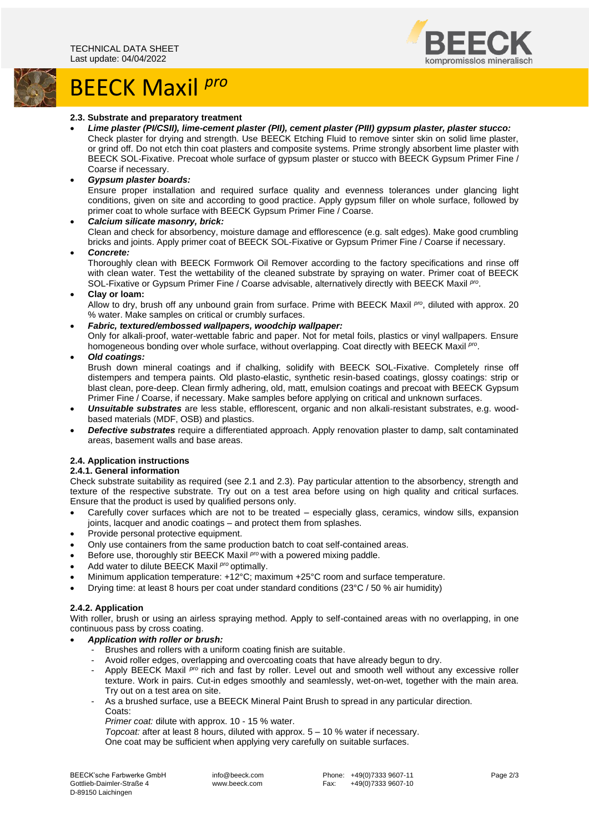

# BEECK Maxil *pro*

## **2.3. Substrate and preparatory treatment**

- *Lime plaster (PI/CSII), lime-cement plaster (PII), cement plaster (PIII) gypsum plaster, plaster stucco:* Check plaster for drying and strength. Use BEECK Etching Fluid to remove sinter skin on solid lime plaster, or grind off. Do not etch thin coat plasters and composite systems. Prime strongly absorbent lime plaster with BEECK SOL-Fixative. Precoat whole surface of gypsum plaster or stucco with BEECK Gypsum Primer Fine / Coarse if necessary.
- *Gypsum plaster boards:*

Ensure proper installation and required surface quality and evenness tolerances under glancing light conditions, given on site and according to good practice. Apply gypsum filler on whole surface, followed by primer coat to whole surface with BEECK Gypsum Primer Fine / Coarse.

• *Calcium silicate masonry, brick:*

Clean and check for absorbency, moisture damage and efflorescence (e.g. salt edges). Make good crumbling bricks and joints. Apply primer coat of BEECK SOL-Fixative or Gypsum Primer Fine / Coarse if necessary.

• *Concrete:*

Thoroughly clean with BEECK Formwork Oil Remover according to the factory specifications and rinse off with clean water. Test the wettability of the cleaned substrate by spraying on water. Primer coat of BEECK SOL-Fixative or Gypsum Primer Fine / Coarse advisable, alternatively directly with BEECK Maxil Pro.

• **Clay or loam:**

Allow to dry, brush off any unbound grain from surface. Prime with BEECK Maxil *pro*, diluted with approx. 20 % water. Make samples on critical or crumbly surfaces.

- *Fabric, textured/embossed wallpapers, woodchip wallpaper:* Only for alkali-proof, water-wettable fabric and paper. Not for metal foils, plastics or vinyl wallpapers. Ensure homogeneous bonding over whole surface, without overlapping. Coat directly with BEECK Maxil P<sup>ro</sup>.
- *Old coatings:*

Brush down mineral coatings and if chalking, solidify with BEECK SOL-Fixative. Completely rinse off distempers and tempera paints. Old plasto-elastic, synthetic resin-based coatings, glossy coatings: strip or blast clean, pore-deep. Clean firmly adhering, old, matt, emulsion coatings and precoat with BEECK Gypsum Primer Fine / Coarse, if necessary. Make samples before applying on critical and unknown surfaces.

- *Unsuitable substrates* are less stable, efflorescent, organic and non alkali-resistant substrates, e.g. woodbased materials (MDF, OSB) and plastics.
- *Defective substrates* require a differentiated approach. Apply renovation plaster to damp, salt contaminated areas, basement walls and base areas.

# **2.4. Application instructions**

# **2.4.1. General information**

Check substrate suitability as required (see 2.1 and 2.3). Pay particular attention to the absorbency, strength and texture of the respective substrate. Try out on a test area before using on high quality and critical surfaces. Ensure that the product is used by qualified persons only.

- Carefully cover surfaces which are not to be treated especially glass, ceramics, window sills, expansion joints, lacquer and anodic coatings – and protect them from splashes.
- Provide personal protective equipment.
- Only use containers from the same production batch to coat self-contained areas.
- Before use, thoroughly stir BEECK Maxil *pro* with a powered mixing paddle.
- Add water to dilute BEECK Maxil *pro* optimally.
- Minimum application temperature: +12°C; maximum +25°C room and surface temperature.
- Drying time: at least 8 hours per coat under standard conditions (23°C / 50 % air humidity)

# **2.4.2. Application**

With roller, brush or using an airless spraying method. Apply to self-contained areas with no overlapping, in one continuous pass by cross coating.

- *Application with roller or brush:*
	- Brushes and rollers with a uniform coating finish are suitable.
	- Avoid roller edges, overlapping and overcoating coats that have already begun to dry.
	- Apply BEECK Maxil <sup>pro</sup> rich and fast by roller. Level out and smooth well without any excessive roller texture. Work in pairs. Cut-in edges smoothly and seamlessly, wet-on-wet, together with the main area. Try out on a test area on site.
	- As a brushed surface, use a BEECK Mineral Paint Brush to spread in any particular direction. Coats:
		- *Primer coat:* dilute with approx. 10 15 % water.

*Topcoat:* after at least 8 hours, diluted with approx. 5 – 10 % water if necessary.

One coat may be sufficient when applying very carefully on suitable surfaces.